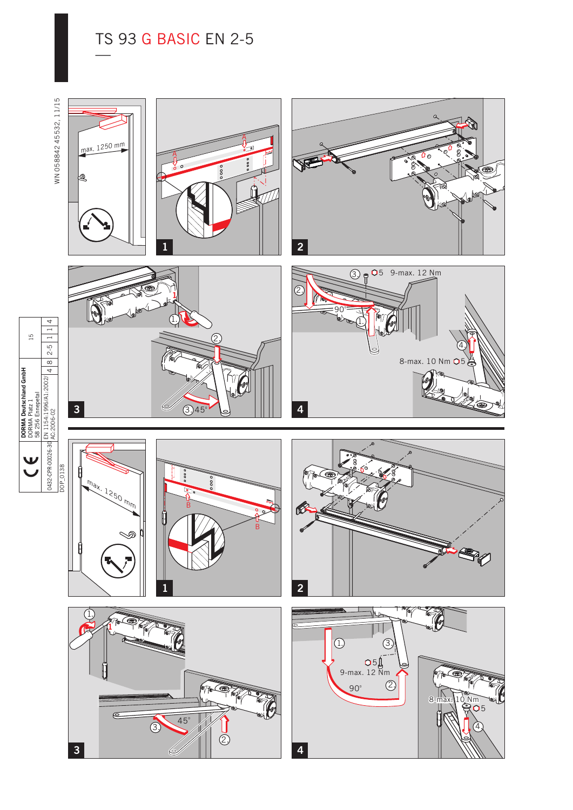## TS 93 G BASIC EN 2-5<br>—

WN 05884245532, 11/15 WN 058842 45532, 11/15







5 9-max. 12 Nm

4.

8-max. 10 Nm  $\bigcirc$ 5



B



◇



1.





0432-CPR-00026-30 EN 1154:1996/A1:2002/ AC:2006-02

**DORMA Deutschland GmbH** DORMA Platz 1 58 256 Ennepetal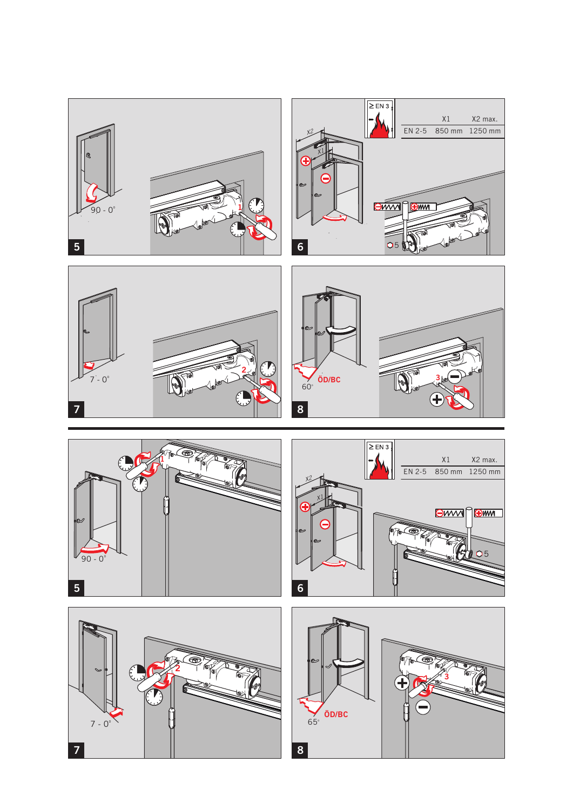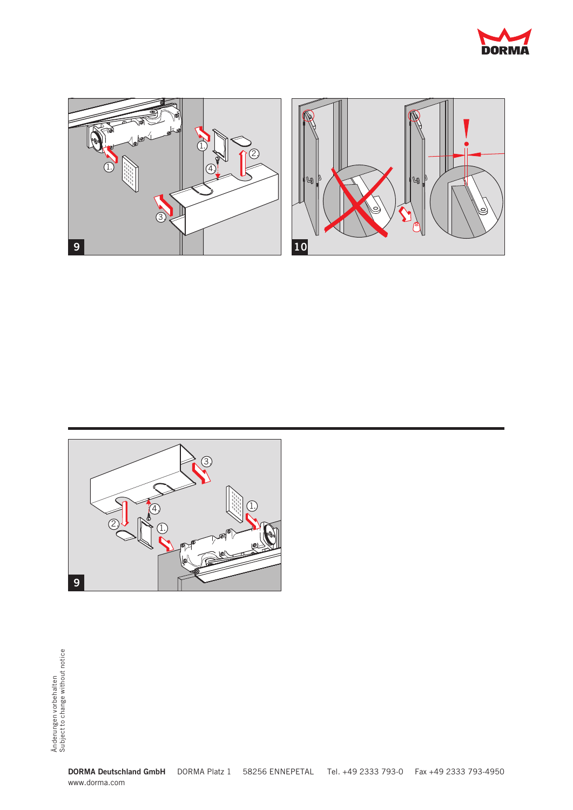





**DORMA Deutschland GmbH** DORMA Platz 1 58256 ENNEPETAL Tel. +49 2333 793-0 Fax +49 2333 793-4950 www.dorma.com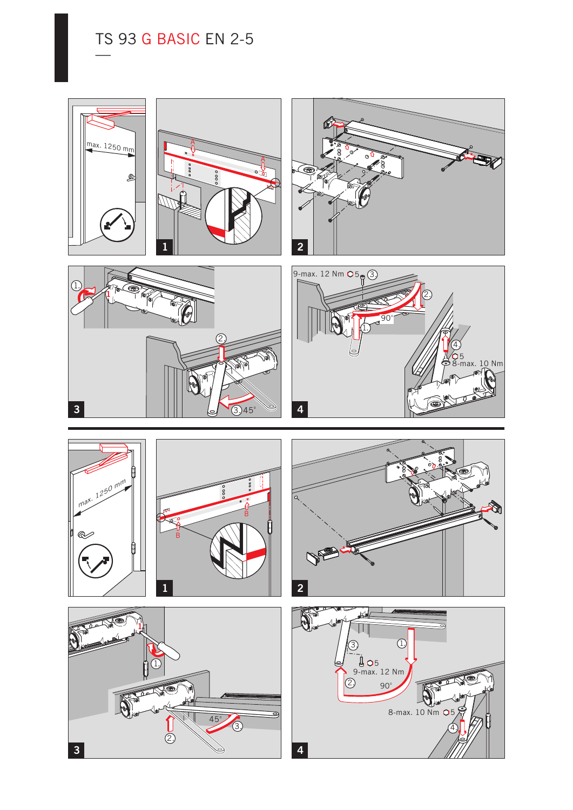## TS 93 G BASIC EN 2-5<br>—

max. 1250 mm  $\mathbb{E}$ 















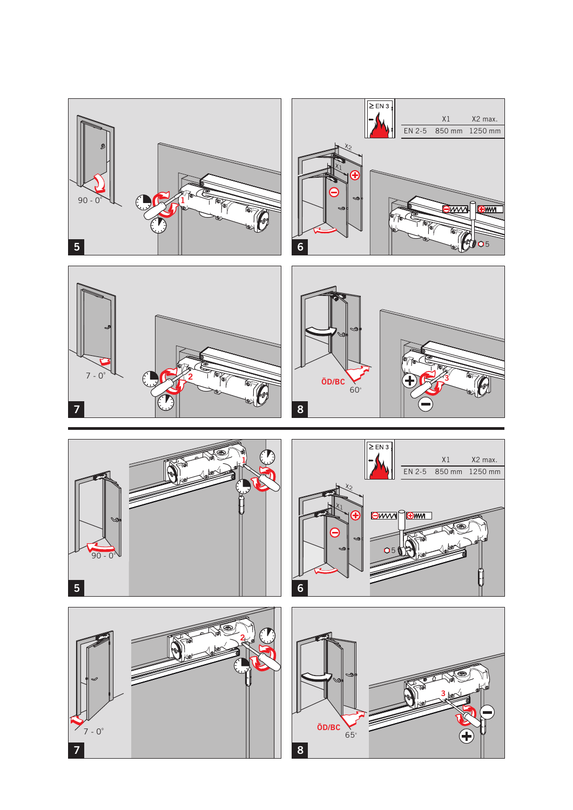